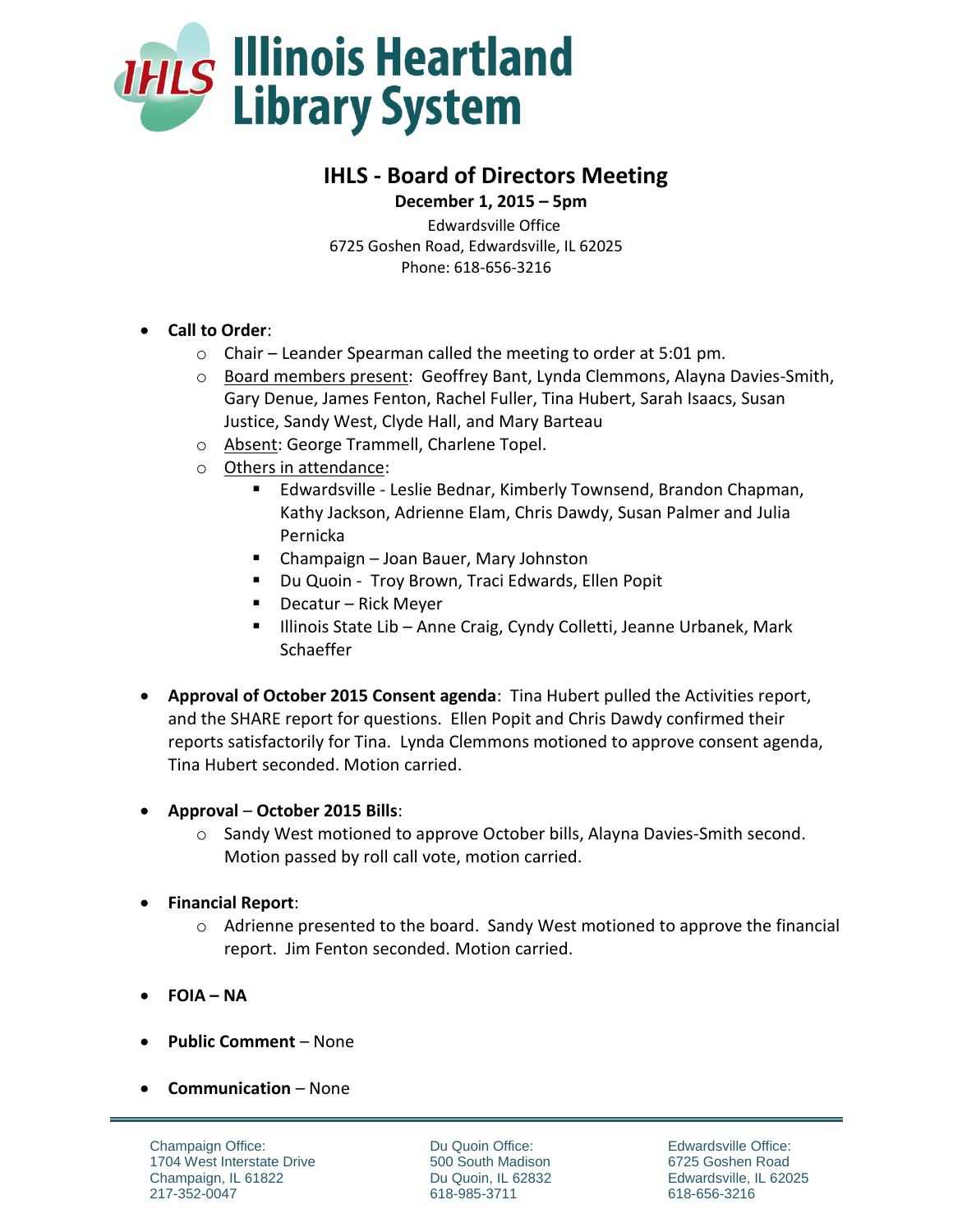

# **IHLS - Board of Directors Meeting**

 **December 1, 2015 – 5pm** Edwardsville Office 6725 Goshen Road, Edwardsville, IL 62025 Phone: 618-656-3216

- **Call to Order**:
	- o Chair Leander Spearman called the meeting to order at 5:01 pm.
	- o Board members present: Geoffrey Bant, Lynda Clemmons, Alayna Davies-Smith, Gary Denue, James Fenton, Rachel Fuller, Tina Hubert, Sarah Isaacs, Susan Justice, Sandy West, Clyde Hall, and Mary Barteau
	- o Absent: George Trammell, Charlene Topel.
	- o Others in attendance:
		- Edwardsville Leslie Bednar, Kimberly Townsend, Brandon Chapman, Kathy Jackson, Adrienne Elam, Chris Dawdy, Susan Palmer and Julia Pernicka
		- Champaign Joan Bauer, Mary Johnston
		- **Du Quoin Troy Brown, Traci Edwards, Ellen Popit**
		- $\blacksquare$  Decatur Rick Meyer
		- Illinois State Lib Anne Craig, Cyndy Colletti, Jeanne Urbanek, Mark Schaeffer
- **Approval of October 2015 Consent agenda**: Tina Hubert pulled the Activities report, and the SHARE report for questions. Ellen Popit and Chris Dawdy confirmed their reports satisfactorily for Tina. Lynda Clemmons motioned to approve consent agenda, Tina Hubert seconded. Motion carried.
- **Approval October 2015 Bills**:
	- o Sandy West motioned to approve October bills, Alayna Davies-Smith second. Motion passed by roll call vote, motion carried.
- **Financial Report**:
	- $\circ$  Adrienne presented to the board. Sandy West motioned to approve the financial report. Jim Fenton seconded. Motion carried.
- **FOIA – NA**
- **Public Comment** None
- **Communication** None

Champaign Office: 1704 West Interstate Drive Champaign, IL 61822 217-352-0047

Du Quoin Office: 500 South Madison Du Quoin, IL 62832 618-985-3711

Edwardsville Office: 6725 Goshen Road Edwardsville, IL 62025 618-656-3216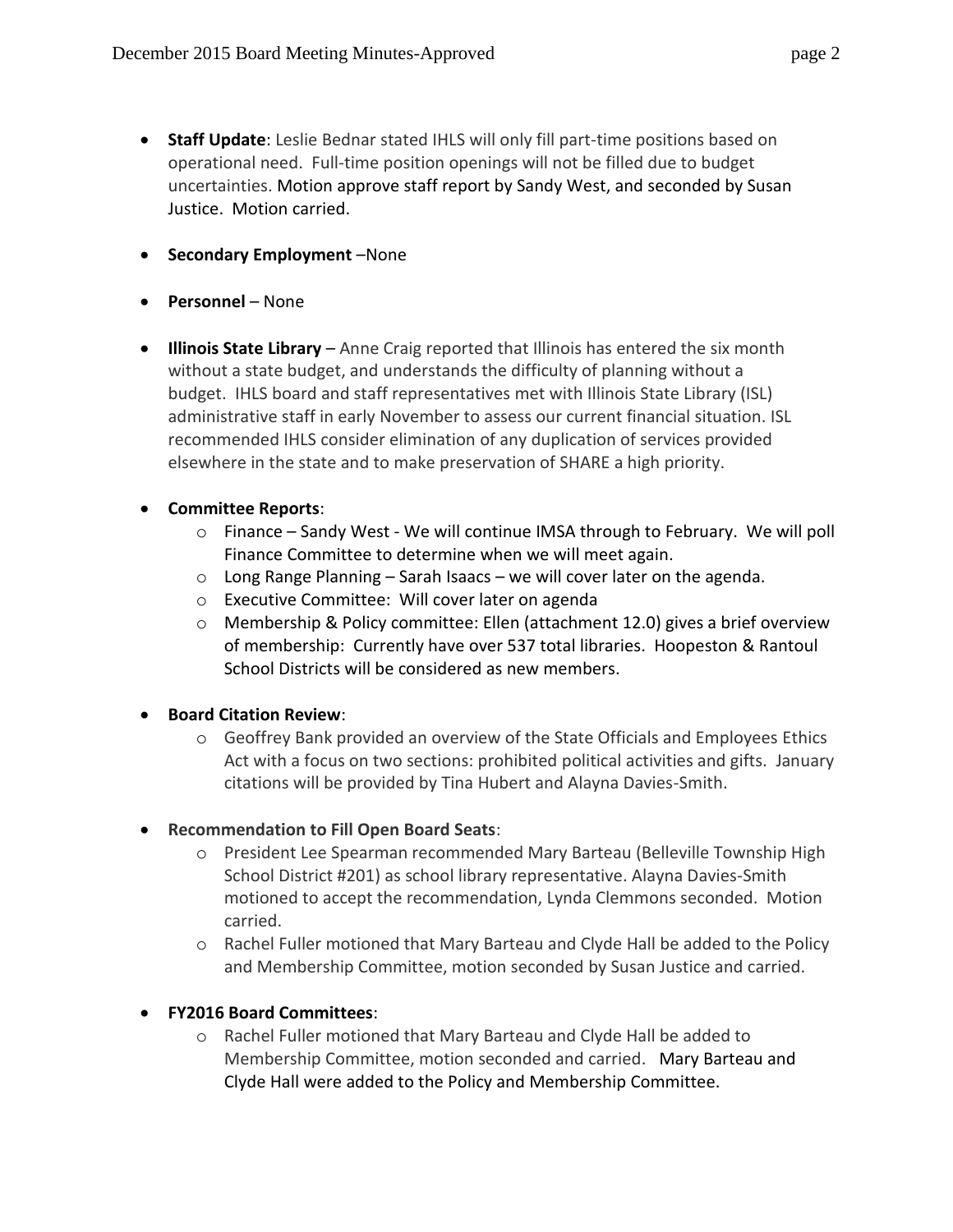- **Staff Update**: Leslie Bednar stated IHLS will only fill part-time positions based on operational need. Full-time position openings will not be filled due to budget uncertainties. Motion approve staff report by Sandy West, and seconded by Susan Justice. Motion carried.
- **•** Secondary Employment –None
- **Personnel** None
- **Illinois State Library** Anne Craig reported that Illinois has entered the six month without a state budget, and understands the difficulty of planning without a budget. IHLS board and staff representatives met with Illinois State Library (ISL) administrative staff in early November to assess our current financial situation. ISL recommended IHLS consider elimination of any duplication of services provided elsewhere in the state and to make preservation of SHARE a high priority.
- **Committee Reports**:
	- $\circ$  Finance Sandy West We will continue IMSA through to February. We will poll Finance Committee to determine when we will meet again.
	- $\circ$  Long Range Planning Sarah Isaacs we will cover later on the agenda.
	- o Executive Committee: Will cover later on agenda
	- o Membership & Policy committee: Ellen (attachment 12.0) gives a brief overview of membership: Currently have over 537 total libraries. Hoopeston & Rantoul School Districts will be considered as new members.
- **Board Citation Review:** 
	- o Geoffrey Bank provided an overview of the State Officials and Employees Ethics Act with a focus on two sections: prohibited political activities and gifts. January citations will be provided by Tina Hubert and Alayna Davies-Smith.

# **Recommendation to Fill Open Board Seats**:

- o President Lee Spearman recommended Mary Barteau (Belleville Township High School District #201) as school library representative. Alayna Davies-Smith motioned to accept the recommendation, Lynda Clemmons seconded. Motion carried.
- o Rachel Fuller motioned that Mary Barteau and Clyde Hall be added to the Policy and Membership Committee, motion seconded by Susan Justice and carried.

# **FY2016 Board Committees**:

o Rachel Fuller motioned that Mary Barteau and Clyde Hall be added to Membership Committee, motion seconded and carried. Mary Barteau and Clyde Hall were added to the Policy and Membership Committee.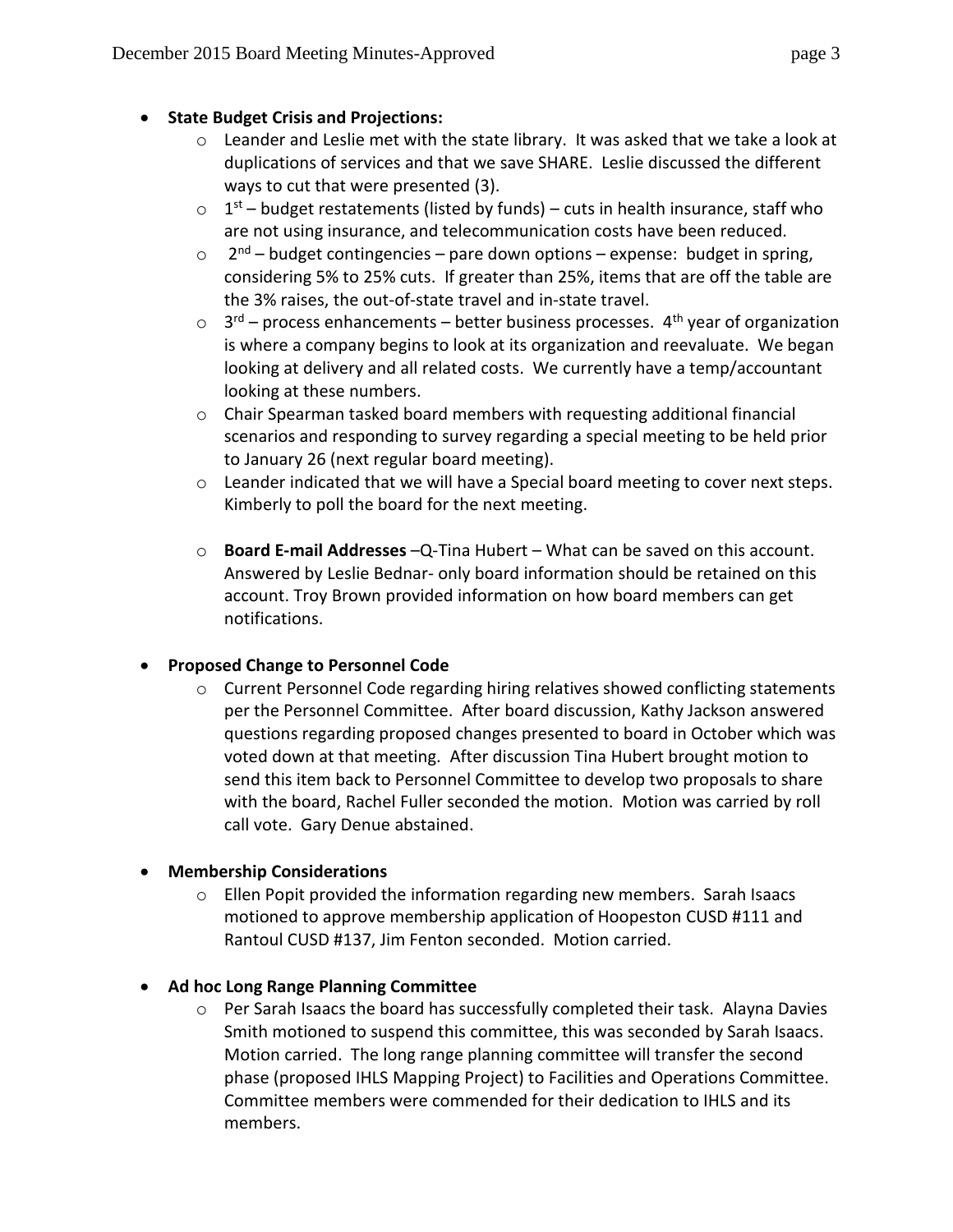### **State Budget Crisis and Projections:**

- $\circ$  Leander and Leslie met with the state library. It was asked that we take a look at duplications of services and that we save SHARE. Leslie discussed the different ways to cut that were presented (3).
- $\circ$  1<sup>st</sup> budget restatements (listed by funds) cuts in health insurance, staff who are not using insurance, and telecommunication costs have been reduced.
- $\circ$  2<sup>nd</sup> budget contingencies pare down options expense: budget in spring, considering 5% to 25% cuts. If greater than 25%, items that are off the table are the 3% raises, the out-of-state travel and in-state travel.
- $\circ$  3<sup>rd</sup> process enhancements better business processes. 4<sup>th</sup> year of organization is where a company begins to look at its organization and reevaluate. We began looking at delivery and all related costs. We currently have a temp/accountant looking at these numbers.
- $\circ$  Chair Spearman tasked board members with requesting additional financial scenarios and responding to survey regarding a special meeting to be held prior to January 26 (next regular board meeting).
- o Leander indicated that we will have a Special board meeting to cover next steps. Kimberly to poll the board for the next meeting.
- o **Board E-mail Addresses** –Q-Tina Hubert What can be saved on this account. Answered by Leslie Bednar- only board information should be retained on this account. Troy Brown provided information on how board members can get notifications.

# **Proposed Change to Personnel Code**

 $\circ$  Current Personnel Code regarding hiring relatives showed conflicting statements per the Personnel Committee. After board discussion, Kathy Jackson answered questions regarding proposed changes presented to board in October which was voted down at that meeting. After discussion Tina Hubert brought motion to send this item back to Personnel Committee to develop two proposals to share with the board, Rachel Fuller seconded the motion. Motion was carried by roll call vote. Gary Denue abstained.

# **Membership Considerations**

 $\circ$  Ellen Popit provided the information regarding new members. Sarah Isaacs motioned to approve membership application of Hoopeston CUSD #111 and Rantoul CUSD #137, Jim Fenton seconded. Motion carried.

# **Ad hoc Long Range Planning Committee**

o Per Sarah Isaacs the board has successfully completed their task. Alayna Davies Smith motioned to suspend this committee, this was seconded by Sarah Isaacs. Motion carried. The long range planning committee will transfer the second phase (proposed IHLS Mapping Project) to Facilities and Operations Committee. Committee members were commended for their dedication to IHLS and its members.